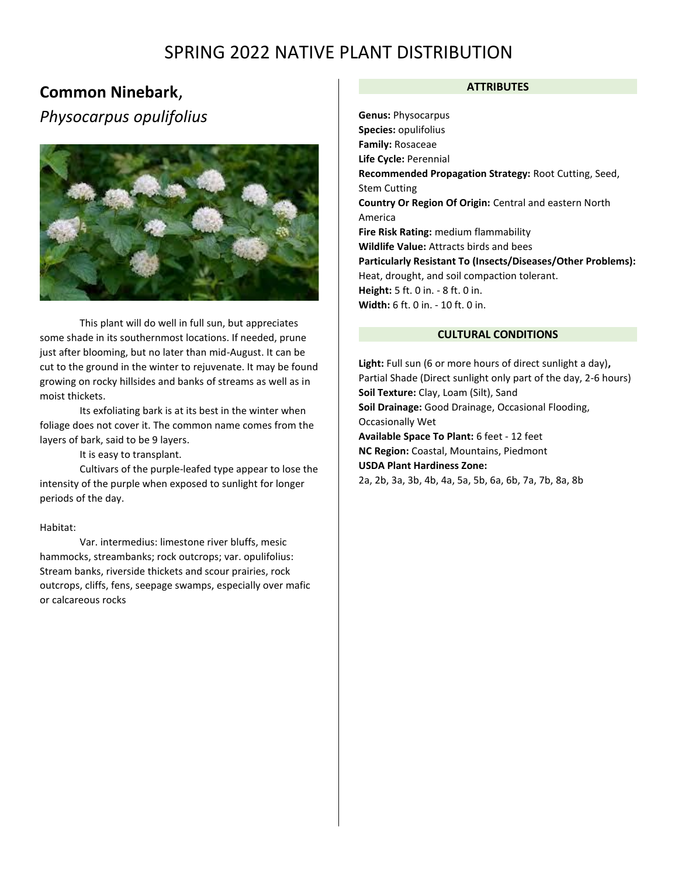## **Common Ninebark**,

*Physocarpus opulifolius*



This plant will do well in full sun, but appreciates some shade in its southernmost locations. If needed, prune just after blooming, but no later than mid-August. It can be cut to the ground in the winter to rejuvenate. It may be found growing on rocky hillsides and banks of streams as well as in moist thickets.

Its exfoliating bark is at its best in the winter when foliage does not cover it. The common name comes from the layers of bark, said to be 9 layers.

It is easy to transplant.

Cultivars of the purple-leafed type appear to lose the intensity of the purple when exposed to sunlight for longer periods of the day.

### Habitat:

Var. intermedius: limestone river bluffs, mesic hammocks, streambanks; rock outcrops; var. opulifolius: Stream banks, riverside thickets and scour prairies, rock outcrops, cliffs, fens, seepage swamps, especially over mafic or calcareous rocks

## **ATTRIBUTES**

**Genus:** Physocarpus **Species:** opulifolius **Family:** Rosaceae **Life Cycle:** Perennial **Recommended Propagation Strategy:** Root Cutting, Seed, Stem Cutting **Country Or Region Of Origin:** Central and eastern North America **Fire Risk Rating:** medium flammability **Wildlife Value:** Attracts birds and bees **Particularly Resistant To (Insects/Diseases/Other Problems):** Heat, drought, and soil compaction tolerant. **Height:** 5 ft. 0 in. - 8 ft. 0 in. **Width:** 6 ft. 0 in. - 10 ft. 0 in.

## **CULTURAL CONDITIONS**

**Light:** Full sun (6 or more hours of direct sunlight a day)**,**  Partial Shade (Direct sunlight only part of the day, 2-6 hours) **Soil Texture:** Clay, Loam (Silt), Sand **Soil Drainage:** Good Drainage, Occasional Flooding, Occasionally Wet **Available Space To Plant:** 6 feet - 12 feet **NC Region:** Coastal, Mountains, Piedmont **USDA Plant Hardiness Zone:** 2a, 2b, 3a, 3b, 4b, 4a, 5a, 5b, 6a, 6b, 7a, 7b, 8a, 8b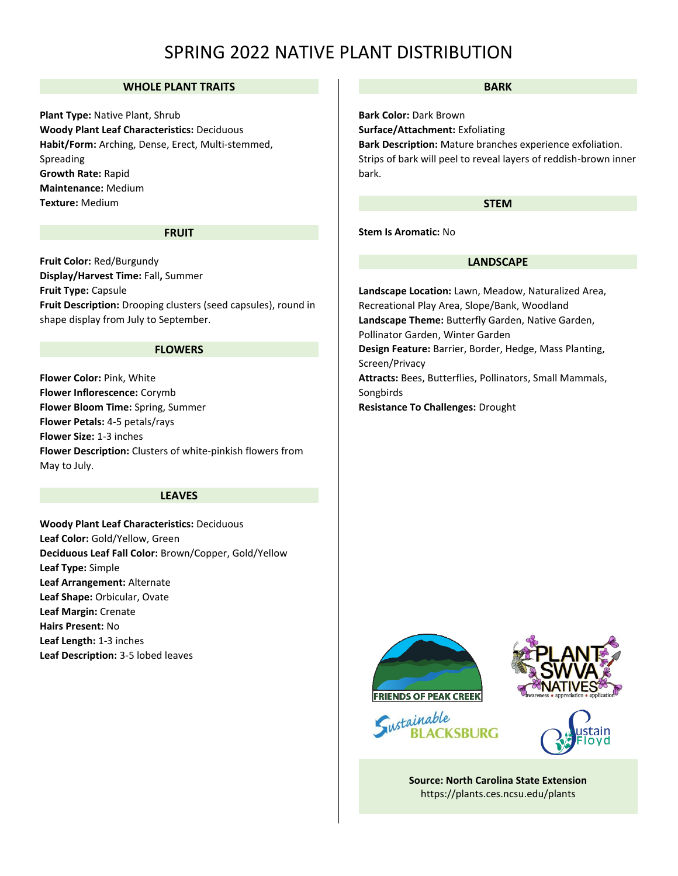## **WHOLE PLANT TRAITS**

**Plant Type:** Native Plant, Shrub **Woody Plant Leaf Characteristics:** Deciduous **Habit/Form:** Arching, Dense, Erect, Multi-stemmed, Spreading **Growth Rate:** Rapid **Maintenance:** Medium **Texture:** Medium

#### **FRUIT**

**Fruit Color:** Red/Burgundy **Display/Harvest Time:** Fall**,** Summer **Fruit Type:** Capsule **Fruit Description:** Drooping clusters (seed capsules), round in shape display from July to September.

#### **FLOWERS**

**Flower Color:** Pink, White **Flower Inflorescence:** Corymb **Flower Bloom Time:** Spring, Summer **Flower Petals:** 4-5 petals/rays **Flower Size:** 1-3 inches **Flower Description:** Clusters of white-pinkish flowers from May to July.

#### **LEAVES**

**Woody Plant Leaf Characteristics:** Deciduous **Leaf Color:** Gold/Yellow, Green **Deciduous Leaf Fall Color:** Brown/Copper, Gold/Yellow **Leaf Type:** Simple **Leaf Arrangement:** Alternate **Leaf Shape:** Orbicular, Ovate **Leaf Margin:** Crenate **Hairs Present:** No **Leaf Length:** 1-3 inches **Leaf Description:** 3-5 lobed leaves

#### **BARK**

**Bark Color:** Dark Brown **Surface/Attachment:** Exfoliating **Bark Description:** Mature branches experience exfoliation. Strips of bark will peel to reveal layers of reddish-brown inner bark.

#### **STEM**

**Stem Is Aromatic:** No

#### **LANDSCAPE**

**Landscape Location:** Lawn, Meadow, Naturalized Area, Recreational Play Area, Slope/Bank, Woodland **Landscape Theme:** Butterfly Garden, Native Garden, Pollinator Garden, Winter Garden **Design Feature:** Barrier, Border, Hedge, Mass Planting, Screen/Privacy **Attracts:** Bees, Butterflies, Pollinators, Small Mammals, Songbirds **Resistance To Challenges:** Drought









**Source: North Carolina State Extension**  <https://plants.ces.ncsu.edu/plants>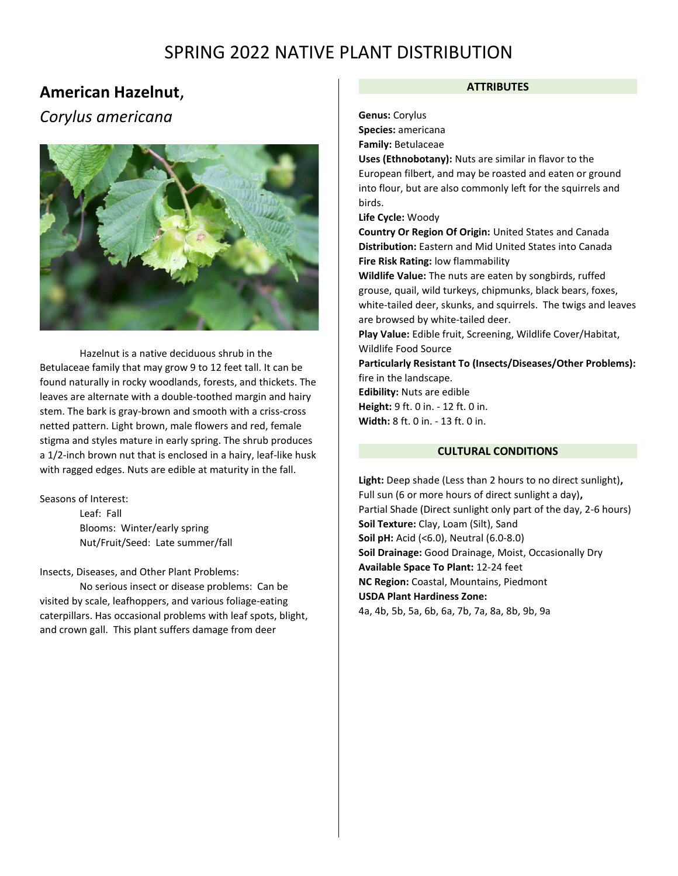## **American Hazelnut**,

## *Corylus americana*



Hazelnut is a native deciduous shrub in the Betulaceae family that may grow 9 to 12 feet tall. It can be found naturally in rocky woodlands, forests, and thickets. The leaves are alternate with a double-toothed margin and hairy stem. The bark is gray-brown and smooth with a criss-cross netted pattern. Light brown, male flowers and red, female stigma and styles mature in early spring. The shrub produces a 1/2-inch brown nut that is enclosed in a hairy, leaf-like husk with ragged edges. Nuts are edible at maturity in the fall.

Seasons of Interest:

Leaf: Fall Blooms: Winter/early spring Nut/Fruit/Seed: Late summer/fall

Insects, Diseases, and Other Plant Problems:

No serious insect or disease problems: Can be visited by scale, leafhoppers, and various foliage-eating caterpillars. Has occasional problems with leaf spots, blight, and crown gall. This plant suffers damage from deer

## **ATTRIBUTES**

**Genus:** Corylus

**Species:** americana

**Family:** Betulaceae

**Uses (Ethnobotany):** Nuts are similar in flavor to the European filbert, and may be roasted and eaten or ground into flour, but are also commonly left for the squirrels and birds.

**Life Cycle:** Woody

**Country Or Region Of Origin:** United States and Canada **Distribution:** Eastern and Mid United States into Canada **Fire Risk Rating:** low flammability

**Wildlife Value:** The nuts are eaten by songbirds, ruffed grouse, quail, wild turkeys, chipmunks, black bears, foxes, white-tailed deer, skunks, and squirrels. The twigs and leaves are browsed by white-tailed deer.

**Play Value:** Edible fruit, Screening, Wildlife Cover/Habitat, Wildlife Food Source

**Particularly Resistant To (Insects/Diseases/Other Problems):** fire in the landscape. **Edibility:** Nuts are edible

**Height:** 9 ft. 0 in. - 12 ft. 0 in. **Width:** 8 ft. 0 in. - 13 ft. 0 in.

## **CULTURAL CONDITIONS**

**Light:** Deep shade (Less than 2 hours to no direct sunlight)**,**  Full sun (6 or more hours of direct sunlight a day)**,**  Partial Shade (Direct sunlight only part of the day, 2-6 hours) **Soil Texture:** Clay, Loam (Silt), Sand **Soil pH:** Acid (<6.0), Neutral (6.0-8.0) **Soil Drainage:** Good Drainage, Moist, Occasionally Dry **Available Space To Plant:** 12-24 feet **NC Region:** Coastal, Mountains, Piedmont **USDA Plant Hardiness Zone:** 4a, 4b, 5b, 5a, 6b, 6a, 7b, 7a, 8a, 8b, 9b, 9a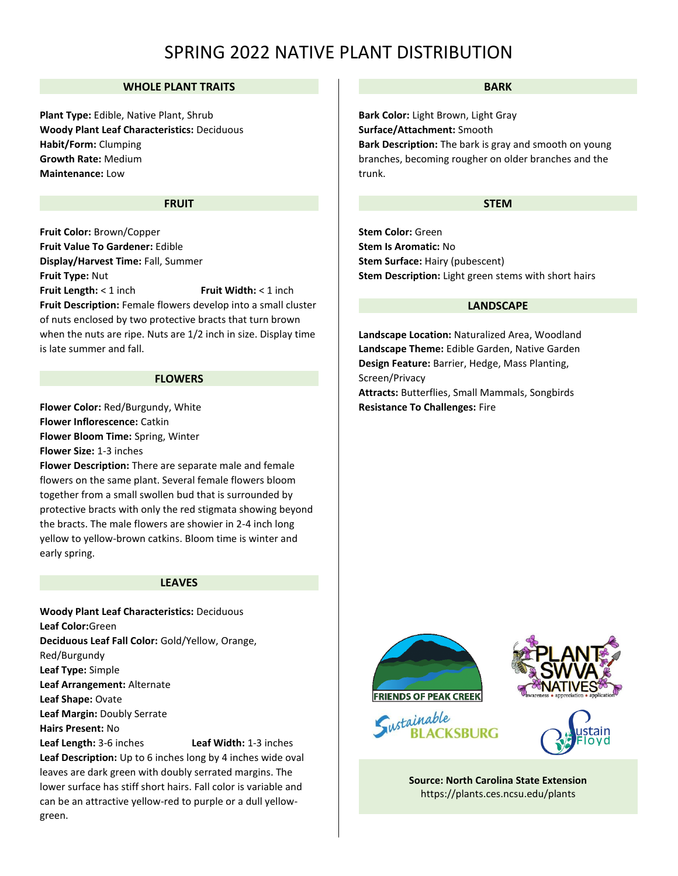## **WHOLE PLANT TRAITS**

**Plant Type:** Edible, Native Plant, Shrub **Woody Plant Leaf Characteristics:** Deciduous **Habit/Form:** Clumping **Growth Rate:** Medium **Maintenance:** Low

#### **FRUIT**

**Fruit Color:** Brown/Copper **Fruit Value To Gardener:** Edible **Display/Harvest Time:** Fall, Summer **Fruit Type:** Nut **Fruit Length:** < 1 inch Fruit Width: < 1 inch **Fruit Description:** Female flowers develop into a small cluster of nuts enclosed by two protective bracts that turn brown when the nuts are ripe. Nuts are 1/2 inch in size. Display time is late summer and fall.

#### **FLOWERS**

**Flower Color:** Red/Burgundy, White **Flower Inflorescence:** Catkin **Flower Bloom Time:** Spring, Winter **Flower Size:** 1-3 inches

**Flower Description:** There are separate male and female flowers on the same plant. Several female flowers bloom together from a small swollen bud that is surrounded by protective bracts with only the red stigmata showing beyond the bracts. The male flowers are showier in 2-4 inch long yellow to yellow-brown catkins. Bloom time is winter and early spring.

#### **LEAVES**

**Woody Plant Leaf Characteristics:** Deciduous **Leaf Color:**Green **Deciduous Leaf Fall Color:** Gold/Yellow, Orange, Red/Burgundy **Leaf Type:** Simple **Leaf Arrangement:** Alternate **Leaf Shape:** Ovate **Leaf Margin:** Doubly Serrate **Hairs Present:** No **Leaf Length:** 3-6 inches **Leaf Width:** 1-3 inches **Leaf Description:** Up to 6 inches long by 4 inches wide oval leaves are dark green with doubly serrated margins. The lower surface has stiff short hairs. Fall color is variable and can be an attractive yellow-red to purple or a dull yellowgreen.

#### **BARK**

**Bark Color:** Light Brown, Light Gray **Surface/Attachment:** Smooth **Bark Description:** The bark is gray and smooth on young branches, becoming rougher on older branches and the trunk.

### **STEM**

**Stem Color:** Green **Stem Is Aromatic:** No **Stem Surface:** Hairy (pubescent) **Stem Description:** Light green stems with short hairs

## **LANDSCAPE**

**Landscape Location:** Naturalized Area, Woodland **Landscape Theme:** Edible Garden, Native Garden **Design Feature:** Barrier, Hedge, Mass Planting, Screen/Privacy

**Attracts:** Butterflies, Small Mammals, Songbirds **Resistance To Challenges:** Fire









**Source: North Carolina State Extension**  <https://plants.ces.ncsu.edu/plants>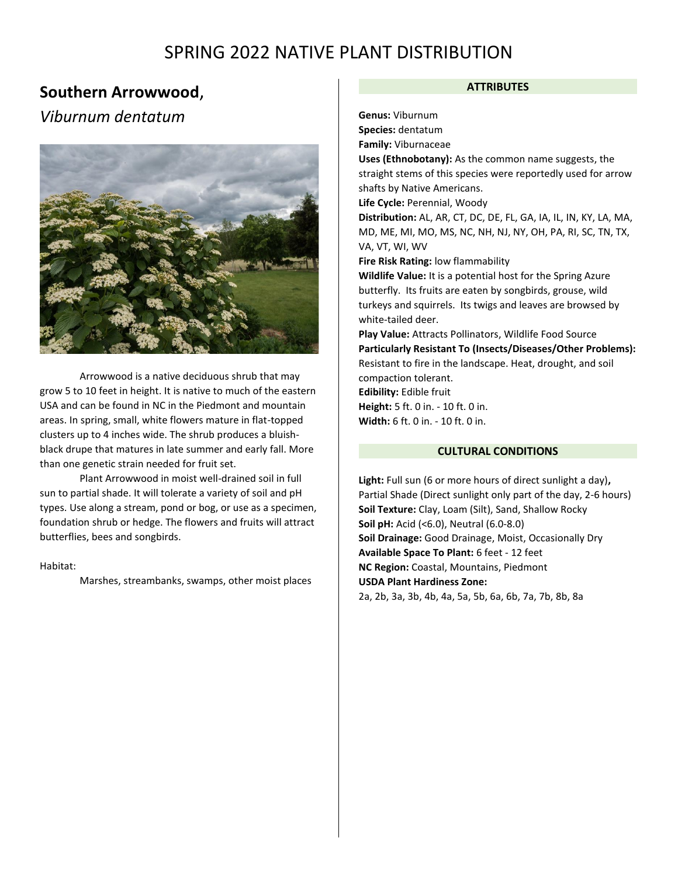## **Southern Arrowwood**, *Viburnum dentatum*



Arrowwood is a native deciduous shrub that may grow 5 to 10 feet in height. It is native to much of the eastern USA and can be found in NC in the Piedmont and mountain areas. In spring, small, white flowers mature in flat-topped clusters up to 4 inches wide. The shrub produces a bluishblack drupe that matures in late summer and early fall. More than one genetic strain needed for fruit set.

Plant Arrowwood in moist well-drained soil in full sun to partial shade. It will tolerate a variety of soil and pH types. Use along a stream, pond or bog, or use as a specimen, foundation shrub or hedge. The flowers and fruits will attract butterflies, bees and songbirds.

#### Habitat:

Marshes, streambanks, swamps, other moist places

### **ATTRIBUTES**

**Genus:** Viburnum

**Species:** dentatum

**Family:** Viburnaceae

**Uses (Ethnobotany):** As the common name suggests, the straight stems of this species were reportedly used for arrow shafts by Native Americans.

**Life Cycle:** Perennial, Woody

**Distribution:** AL, AR, CT, DC, DE, FL, GA, IA, IL, IN, KY, LA, MA, MD, ME, MI, MO, MS, NC, NH, NJ, NY, OH, PA, RI, SC, TN, TX, VA, VT, WI, WV

**Fire Risk Rating:** low flammability

**Wildlife Value:** It is a potential host for the Spring Azure butterfly. Its fruits are eaten by songbirds, grouse, wild turkeys and squirrels. Its twigs and leaves are browsed by white-tailed deer.

**Play Value:** Attracts Pollinators, Wildlife Food Source **Particularly Resistant To (Insects/Diseases/Other Problems):** Resistant to fire in the landscape. Heat, drought, and soil compaction tolerant. **Edibility:** Edible fruit

**Height:** 5 ft. 0 in. - 10 ft. 0 in. **Width:** 6 ft. 0 in. - 10 ft. 0 in.

## **CULTURAL CONDITIONS**

**Light:** Full sun (6 or more hours of direct sunlight a day)**,**  Partial Shade (Direct sunlight only part of the day, 2-6 hours) **Soil Texture:** Clay, Loam (Silt), Sand, Shallow Rocky **Soil pH:** Acid (<6.0), Neutral (6.0-8.0) **Soil Drainage:** Good Drainage, Moist, Occasionally Dry **Available Space To Plant:** 6 feet - 12 feet **NC Region:** Coastal, Mountains, Piedmont **USDA Plant Hardiness Zone:** 2a, 2b, 3a, 3b, 4b, 4a, 5a, 5b, 6a, 6b, 7a, 7b, 8b, 8a